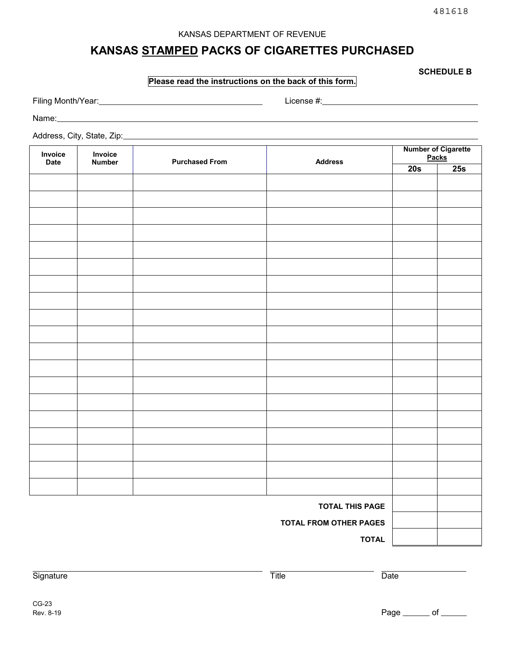### KANSAS DEPARTMENT OF REVENUE

# **KANSAS STAMPED PACKS OF CIGARETTES PURCHASED**

**SCHEDULE B** 

### **Please read the instructions on the back of this form.**

Filing Month/Year: License #: License #: License #: License #: License #: License #: License #: License #: License #: License #: License #: License #: License #: License #: License #: License #: License #: License #: Licen

Name:

Address, City, State, Zip:

| Invoice<br><b>Date</b>        | Invoice<br><b>Number</b> | <b>Purchased From</b> | <b>Address</b> | <b>Number of Cigarette</b><br><b>Packs</b> |     |
|-------------------------------|--------------------------|-----------------------|----------------|--------------------------------------------|-----|
|                               |                          |                       |                | 20s                                        | 25s |
|                               |                          |                       |                |                                            |     |
|                               |                          |                       |                |                                            |     |
|                               |                          |                       |                |                                            |     |
|                               |                          |                       |                |                                            |     |
|                               |                          |                       |                |                                            |     |
|                               |                          |                       |                |                                            |     |
|                               |                          |                       |                |                                            |     |
|                               |                          |                       |                |                                            |     |
|                               |                          |                       |                |                                            |     |
|                               |                          |                       |                |                                            |     |
|                               |                          |                       |                |                                            |     |
|                               |                          |                       |                |                                            |     |
|                               |                          |                       |                |                                            |     |
|                               |                          |                       |                |                                            |     |
|                               |                          |                       |                |                                            |     |
|                               |                          |                       |                |                                            |     |
|                               |                          |                       |                |                                            |     |
|                               |                          |                       |                |                                            |     |
|                               |                          |                       |                |                                            |     |
| <b>TOTAL THIS PAGE</b>        |                          |                       |                |                                            |     |
| <b>TOTAL FROM OTHER PAGES</b> |                          |                       |                |                                            |     |
| <b>TOTAL</b>                  |                          |                       |                |                                            |     |

Signature Title Date